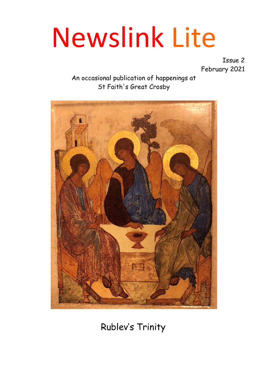# Newslink Lite

Issue 2 February 2021

#### An occasional publication of happenings at St Faith's Great Crosby



Rublev's Trinity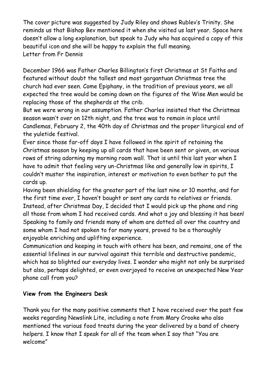The cover picture was suggested by Judy Riley and shows Rublev's Trinity. She reminds us that Bishop Bev mentioned it when she visited us last year. Space here doesn't allow a long explanation, but speak to Judy who has acquired a copy of this beautiful icon and she will be happy to explain the full meaning. Letter from Fr Dennis

December 1966 was Father Charles Billington's first Christmas at St Faiths and featured without doubt the tallest and most gargantuan Christmas tree the church had ever seen. Come Epiphany, in the tradition of previous years, we all expected the tree would be coming down on the figures of the Wise Men would be replacing those of the shepherds at the crib.

But we were wrong in our assumption. Father Charles insisted that the Christmas season wasn't over on 12th night, and the tree was to remain in place until Candlemas, February 2, the 40th day of Christmas and the proper liturgical end of the yuletide festival.

Ever since those far-off days I have followed in the spirit of retaining the Christmas season by keeping up all cards that have been sent or given, on various rows of string adorning my morning room wall. That is until this last year when I have to admit that feeling very un-Christmas like and generally low in spirits, I couldn't muster the inspiration, interest or motivation to even bother to put the cards up.

Having been shielding for the greater part of the last nine or 10 months, and for the first time ever, I haven't bought or sent any cards to relatives or friends. Instead, after Christmas Day, I decided that I would pick up the phone and ring all those from whom I had received cards. And what a joy and blessing it has been! Speaking to family and friends many of whom are dotted all over the country and some whom I had not spoken to for many years, proved to be a thoroughly enjoyable enriching and uplifting experience.

Communication and keeping in touch with others has been, and remains, one of the essential lifelines in our survival against this terrible and destructive pandemic, which has so blighted our everyday lives. I wonder who might not only be surprised but also, perhaps delighted, or even overjoyed to receive an unexpected New Year phone call from you?

#### **View from the Engineers Desk**

Thank you for the many positive comments that I have received over the past few weeks regarding Newslink Lite, including a note from Mary Crooke who also mentioned the various food treats during the year delivered by a band of cheery helpers. I know that I speak for all of the team when I say that "You are welcome"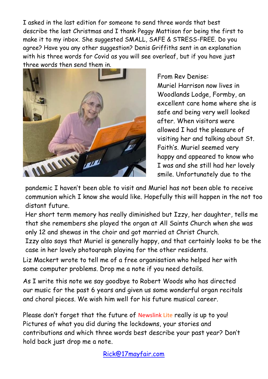I asked in the last edition for someone to send three words that best describe the last Christmas and I thank Peggy Mattison for being the first to make it to my inbox. She suggested SMALL, SAFE & STRESS-FREE. Do you agree? Have you any other suggestion? Denis Griffiths sent in an explanation with his three words for Covid as you will see overleaf, but if you have just three words then send them in.



From Rev Denise: Muriel Harrison now lives in Woodlands Lodge, Formby, an excellent care home where she is safe and being very well looked after. When visitors were allowed I had the pleasure of visiting her and talking about St. Faith's. Muriel seemed very happy and appeared to know who I was and she still had her lovely smile. Unfortunately due to the

pandemic I haven't been able to visit and Muriel has not been able to receive communion which I know she would like. Hopefully this will happen in the not too distant future.

Her short term memory has really diminished but Izzy, her daughter, tells me that she remembers she played the organ at All Saints Church when she was only 12 and shewas in the choir and got married at Christ Church.

Izzy also says that Muriel is generally happy, and that certainly looks to be the case in her lovely photograph playing for the other residents.

Liz Mackert wrote to tell me of a free organisation who helped her with some computer problems. Drop me a note if you need details.

As I write this note we say goodbye to Robert Woods who has directed our music for the past 6 years and given us some wonderful organ recitals and choral pieces. We wish him well for his future musical career.

Please don't forget that the future of Newslink Lite really is up to you! Pictures of what you did during the lockdowns, your stories and contributions and which three words best describe your past year? Don't hold back just drop me a note.